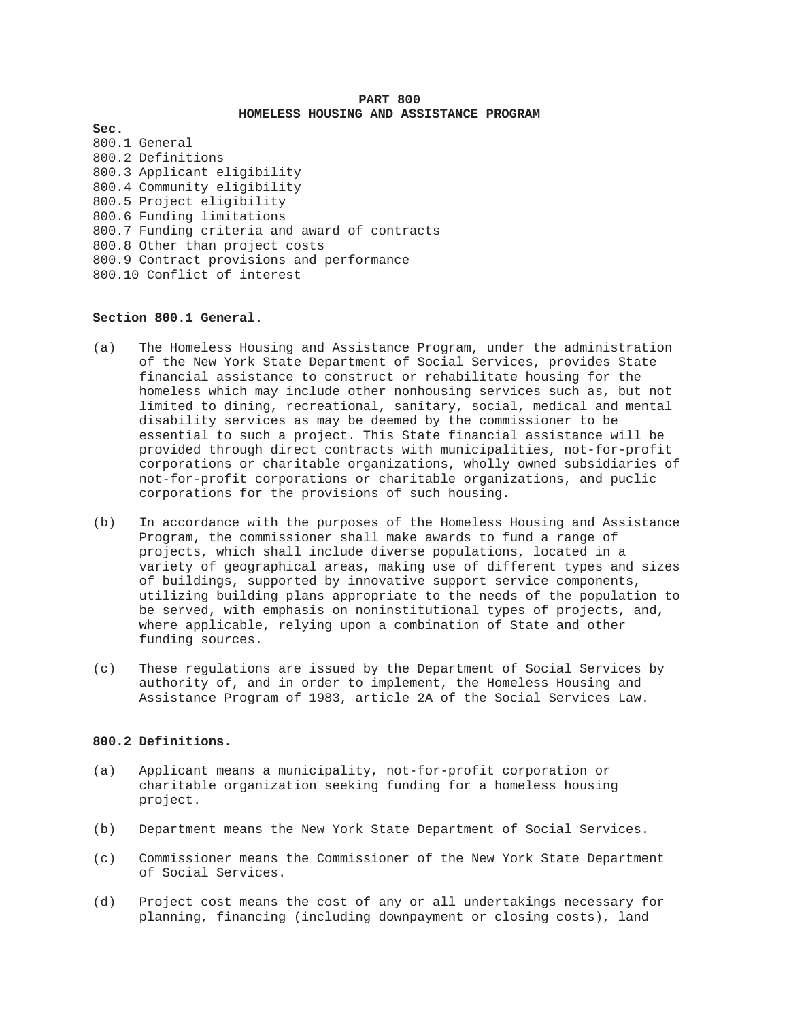# **PART 800 HOMELESS HOUSING AND ASSISTANCE PROGRAM**

**Sec.**  800.1 General 800.2 Definitions 800.3 Applicant eligibility 800.4 Community eligibility 800.5 Project eligibility 800.6 Funding limitations 800.7 Funding criteria and award of contracts 800.8 Other than project costs 800.9 Contract provisions and performance 800.10 Conflict of interest

# **Section 800.1 General.**

- (a) The Homeless Housing and Assistance Program, under the administration of the New York State Department of Social Services, provides State financial assistance to construct or rehabilitate housing for the homeless which may include other nonhousing services such as, but not limited to dining, recreational, sanitary, social, medical and mental disability services as may be deemed by the commissioner to be essential to such a project. This State financial assistance will be provided through direct contracts with municipalities, not-for-profit corporations or charitable organizations, wholly owned subsidiaries of not-for-profit corporations or charitable organizations, and puclic corporations for the provisions of such housing.
- (b) In accordance with the purposes of the Homeless Housing and Assistance Program, the commissioner shall make awards to fund a range of projects, which shall include diverse populations, located in a variety of geographical areas, making use of different types and sizes of buildings, supported by innovative support service components, utilizing building plans appropriate to the needs of the population to be served, with emphasis on noninstitutional types of projects, and, where applicable, relying upon a combination of State and other funding sources.
- (c) These regulations are issued by the Department of Social Services by authority of, and in order to implement, the Homeless Housing and Assistance Program of 1983, article 2A of the Social Services Law.

# **800.2 Definitions.**

- (a) Applicant means a municipality, not-for-profit corporation or charitable organization seeking funding for a homeless housing project.
- (b) Department means the New York State Department of Social Services.
- (c) Commissioner means the Commissioner of the New York State Department of Social Services.
- (d) Project cost means the cost of any or all undertakings necessary for planning, financing (including downpayment or closing costs), land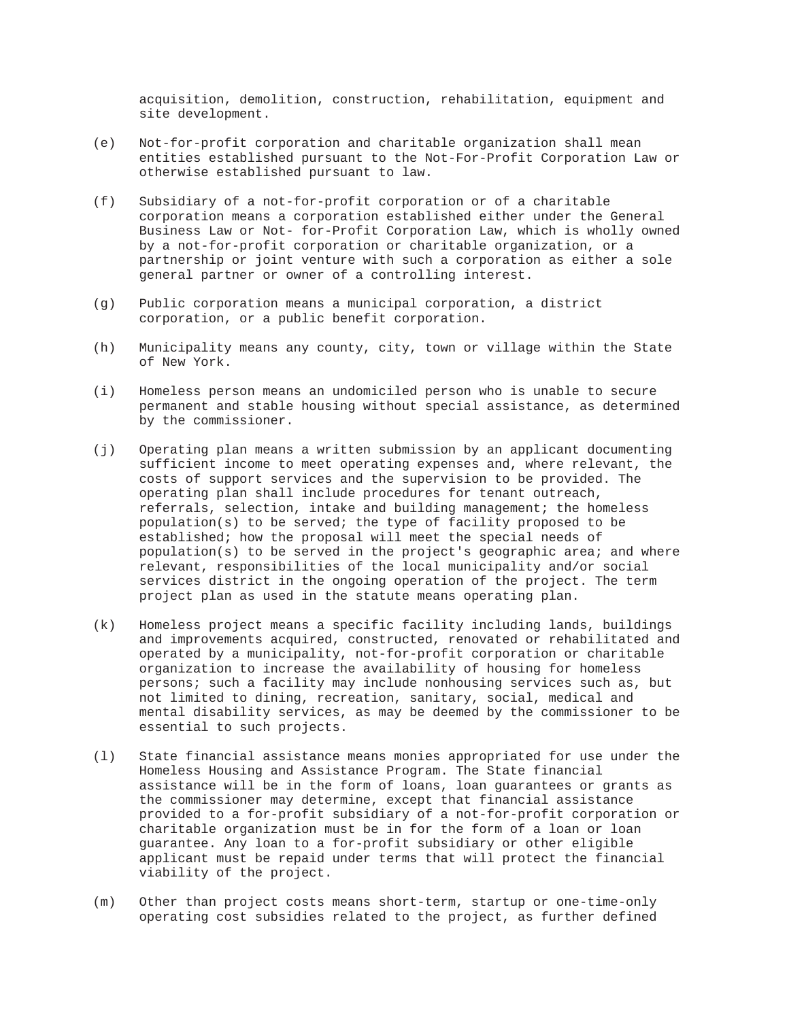acquisition, demolition, construction, rehabilitation, equipment and site development.

- (e) Not-for-profit corporation and charitable organization shall mean entities established pursuant to the Not-For-Profit Corporation Law or otherwise established pursuant to law.
- (f) Subsidiary of a not-for-profit corporation or of a charitable corporation means a corporation established either under the General Business Law or Not- for-Profit Corporation Law, which is wholly owned by a not-for-profit corporation or charitable organization, or a partnership or joint venture with such a corporation as either a sole general partner or owner of a controlling interest.
- (g) Public corporation means a municipal corporation, a district corporation, or a public benefit corporation.
- (h) Municipality means any county, city, town or village within the State of New York.
- (i) Homeless person means an undomiciled person who is unable to secure permanent and stable housing without special assistance, as determined by the commissioner.
- (j) Operating plan means a written submission by an applicant documenting sufficient income to meet operating expenses and, where relevant, the costs of support services and the supervision to be provided. The operating plan shall include procedures for tenant outreach, referrals, selection, intake and building management; the homeless population(s) to be served; the type of facility proposed to be established; how the proposal will meet the special needs of population(s) to be served in the project's geographic area; and where relevant, responsibilities of the local municipality and/or social services district in the ongoing operation of the project. The term project plan as used in the statute means operating plan.
- (k) Homeless project means a specific facility including lands, buildings and improvements acquired, constructed, renovated or rehabilitated and operated by a municipality, not-for-profit corporation or charitable organization to increase the availability of housing for homeless persons; such a facility may include nonhousing services such as, but not limited to dining, recreation, sanitary, social, medical and mental disability services, as may be deemed by the commissioner to be essential to such projects.
- (l) State financial assistance means monies appropriated for use under the Homeless Housing and Assistance Program. The State financial assistance will be in the form of loans, loan guarantees or grants as the commissioner may determine, except that financial assistance provided to a for-profit subsidiary of a not-for-profit corporation or charitable organization must be in for the form of a loan or loan guarantee. Any loan to a for-profit subsidiary or other eligible applicant must be repaid under terms that will protect the financial viability of the project.
- (m) Other than project costs means short-term, startup or one-time-only operating cost subsidies related to the project, as further defined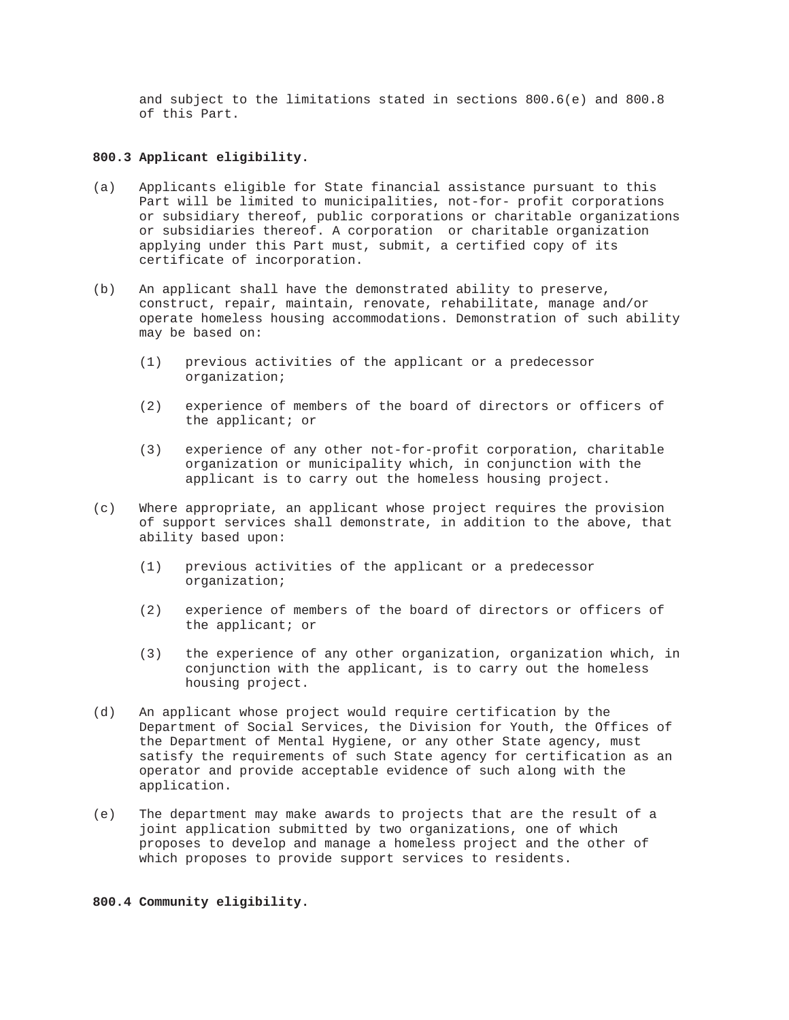and subject to the limitations stated in sections 800.6(e) and 800.8 of this Part.

# **800.3 Applicant eligibility.**

- (a) Applicants eligible for State financial assistance pursuant to this Part will be limited to municipalities, not-for- profit corporations or subsidiary thereof, public corporations or charitable organizations or subsidiaries thereof. A corporation or charitable organization applying under this Part must, submit, a certified copy of its certificate of incorporation.
- (b) An applicant shall have the demonstrated ability to preserve, construct, repair, maintain, renovate, rehabilitate, manage and/or operate homeless housing accommodations. Demonstration of such ability may be based on:
	- (1) previous activities of the applicant or a predecessor organization;
	- (2) experience of members of the board of directors or officers of the applicant; or
	- (3) experience of any other not-for-profit corporation, charitable organization or municipality which, in conjunction with the applicant is to carry out the homeless housing project.
- (c) Where appropriate, an applicant whose project requires the provision of support services shall demonstrate, in addition to the above, that ability based upon:
	- (1) previous activities of the applicant or a predecessor organization;
	- (2) experience of members of the board of directors or officers of the applicant; or
	- (3) the experience of any other organization, organization which, in conjunction with the applicant, is to carry out the homeless housing project.
- (d) An applicant whose project would require certification by the Department of Social Services, the Division for Youth, the Offices of the Department of Mental Hygiene, or any other State agency, must satisfy the requirements of such State agency for certification as an operator and provide acceptable evidence of such along with the application.
- (e) The department may make awards to projects that are the result of a joint application submitted by two organizations, one of which proposes to develop and manage a homeless project and the other of which proposes to provide support services to residents.

#### **800.4 Community eligibility.**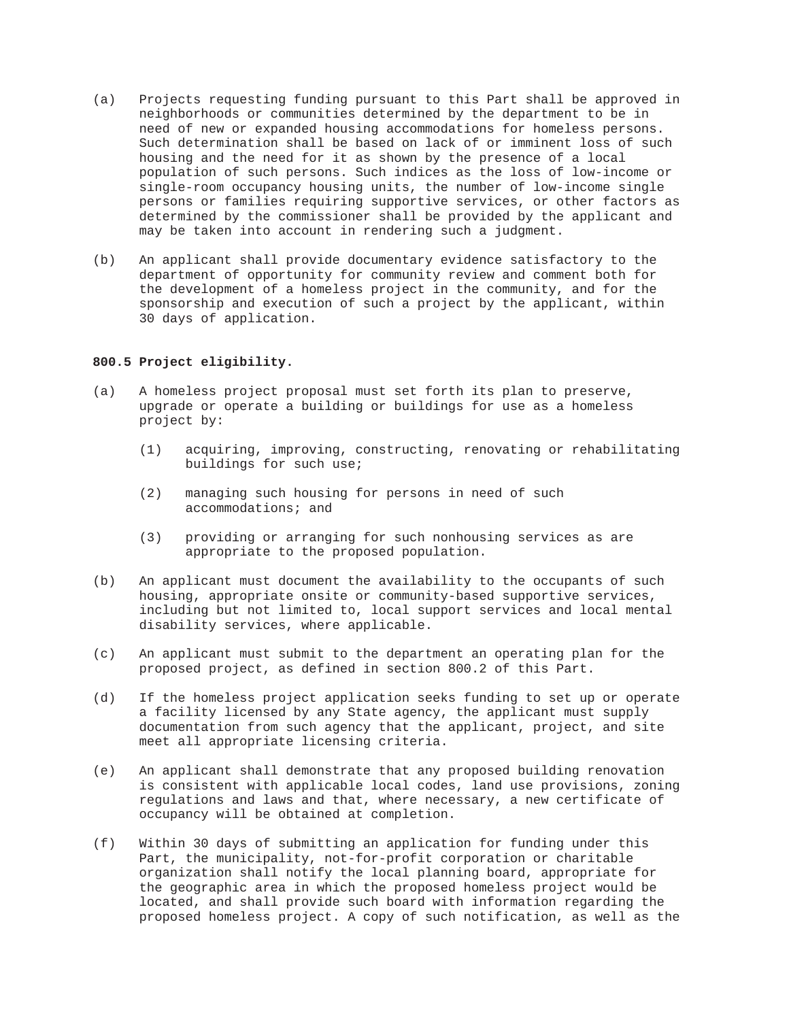- (a) Projects requesting funding pursuant to this Part shall be approved in neighborhoods or communities determined by the department to be in need of new or expanded housing accommodations for homeless persons. Such determination shall be based on lack of or imminent loss of such housing and the need for it as shown by the presence of a local population of such persons. Such indices as the loss of low-income or single-room occupancy housing units, the number of low-income single persons or families requiring supportive services, or other factors as determined by the commissioner shall be provided by the applicant and may be taken into account in rendering such a judgment.
- (b) An applicant shall provide documentary evidence satisfactory to the department of opportunity for community review and comment both for the development of a homeless project in the community, and for the sponsorship and execution of such a project by the applicant, within 30 days of application.

# **800.5 Project eligibility.**

- (a) A homeless project proposal must set forth its plan to preserve, upgrade or operate a building or buildings for use as a homeless project by:
	- (1) acquiring, improving, constructing, renovating or rehabilitating buildings for such use;
	- (2) managing such housing for persons in need of such accommodations; and
	- (3) providing or arranging for such nonhousing services as are appropriate to the proposed population.
- (b) An applicant must document the availability to the occupants of such housing, appropriate onsite or community-based supportive services, including but not limited to, local support services and local mental disability services, where applicable.
- (c) An applicant must submit to the department an operating plan for the proposed project, as defined in section 800.2 of this Part.
- (d) If the homeless project application seeks funding to set up or operate a facility licensed by any State agency, the applicant must supply documentation from such agency that the applicant, project, and site meet all appropriate licensing criteria.
- (e) An applicant shall demonstrate that any proposed building renovation is consistent with applicable local codes, land use provisions, zoning regulations and laws and that, where necessary, a new certificate of occupancy will be obtained at completion.
- (f) Within 30 days of submitting an application for funding under this Part, the municipality, not-for-profit corporation or charitable organization shall notify the local planning board, appropriate for the geographic area in which the proposed homeless project would be located, and shall provide such board with information regarding the proposed homeless project. A copy of such notification, as well as the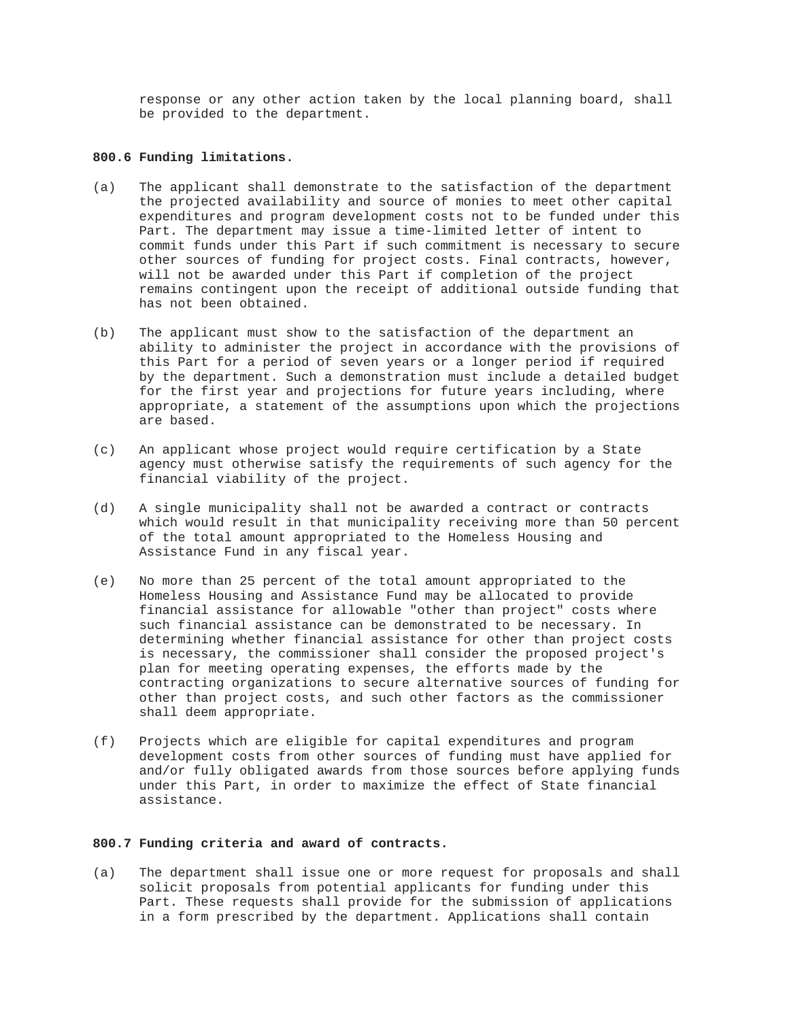response or any other action taken by the local planning board, shall be provided to the department.

# **800.6 Funding limitations.**

- (a) The applicant shall demonstrate to the satisfaction of the department the projected availability and source of monies to meet other capital expenditures and program development costs not to be funded under this Part. The department may issue a time-limited letter of intent to commit funds under this Part if such commitment is necessary to secure other sources of funding for project costs. Final contracts, however, will not be awarded under this Part if completion of the project remains contingent upon the receipt of additional outside funding that has not been obtained.
- (b) The applicant must show to the satisfaction of the department an ability to administer the project in accordance with the provisions of this Part for a period of seven years or a longer period if required by the department. Such a demonstration must include a detailed budget for the first year and projections for future years including, where appropriate, a statement of the assumptions upon which the projections are based.
- (c) An applicant whose project would require certification by a State agency must otherwise satisfy the requirements of such agency for the financial viability of the project.
- (d) A single municipality shall not be awarded a contract or contracts which would result in that municipality receiving more than 50 percent of the total amount appropriated to the Homeless Housing and Assistance Fund in any fiscal year.
- (e) No more than 25 percent of the total amount appropriated to the Homeless Housing and Assistance Fund may be allocated to provide financial assistance for allowable "other than project" costs where such financial assistance can be demonstrated to be necessary. In determining whether financial assistance for other than project costs is necessary, the commissioner shall consider the proposed project's plan for meeting operating expenses, the efforts made by the contracting organizations to secure alternative sources of funding for other than project costs, and such other factors as the commissioner shall deem appropriate.
- (f) Projects which are eligible for capital expenditures and program development costs from other sources of funding must have applied for and/or fully obligated awards from those sources before applying funds under this Part, in order to maximize the effect of State financial assistance.

#### **800.7 Funding criteria and award of contracts.**

(a) The department shall issue one or more request for proposals and shall solicit proposals from potential applicants for funding under this Part. These requests shall provide for the submission of applications in a form prescribed by the department. Applications shall contain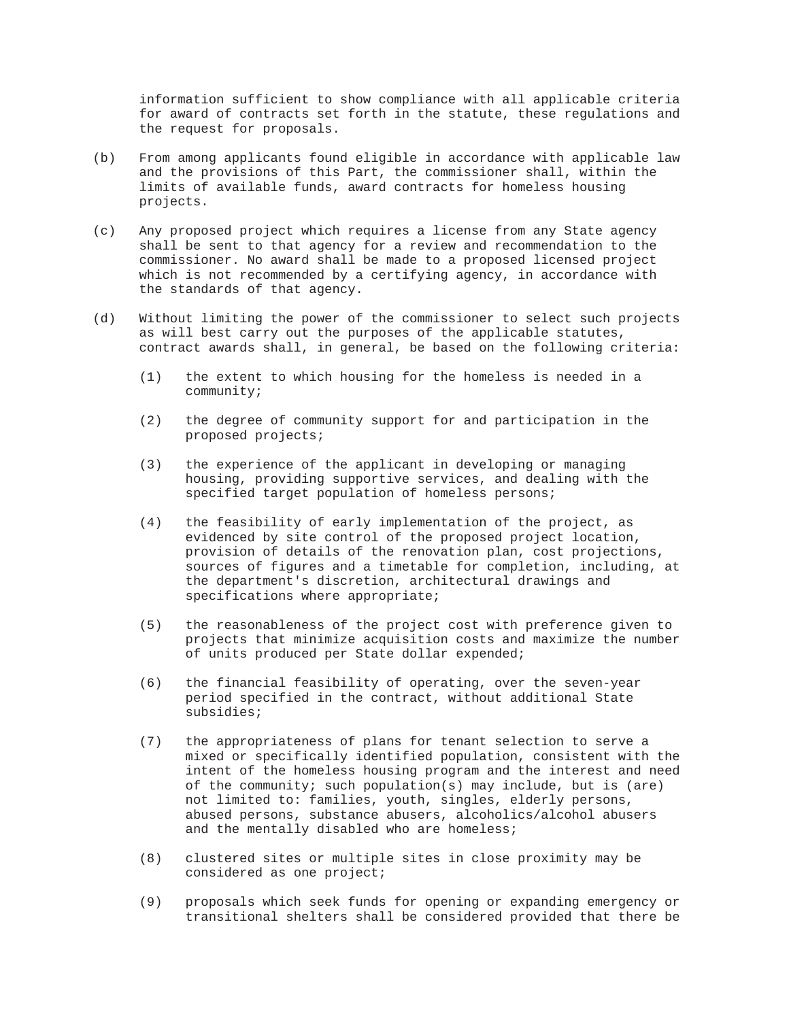information sufficient to show compliance with all applicable criteria for award of contracts set forth in the statute, these regulations and the request for proposals.

- (b) From among applicants found eligible in accordance with applicable law and the provisions of this Part, the commissioner shall, within the limits of available funds, award contracts for homeless housing projects.
- (c) Any proposed project which requires a license from any State agency shall be sent to that agency for a review and recommendation to the commissioner. No award shall be made to a proposed licensed project which is not recommended by a certifying agency, in accordance with the standards of that agency.
- (d) Without limiting the power of the commissioner to select such projects as will best carry out the purposes of the applicable statutes, contract awards shall, in general, be based on the following criteria:
	- (1) the extent to which housing for the homeless is needed in a community;
	- (2) the degree of community support for and participation in the proposed projects;
	- (3) the experience of the applicant in developing or managing housing, providing supportive services, and dealing with the specified target population of homeless persons;
	- (4) the feasibility of early implementation of the project, as evidenced by site control of the proposed project location, provision of details of the renovation plan, cost projections, sources of figures and a timetable for completion, including, at the department's discretion, architectural drawings and specifications where appropriate;
	- (5) the reasonableness of the project cost with preference given to projects that minimize acquisition costs and maximize the number of units produced per State dollar expended;
	- (6) the financial feasibility of operating, over the seven-year period specified in the contract, without additional State subsidies;
	- (7) the appropriateness of plans for tenant selection to serve a mixed or specifically identified population, consistent with the intent of the homeless housing program and the interest and need of the community; such population(s) may include, but is (are) not limited to: families, youth, singles, elderly persons, abused persons, substance abusers, alcoholics/alcohol abusers and the mentally disabled who are homeless;
	- (8) clustered sites or multiple sites in close proximity may be considered as one project;
	- (9) proposals which seek funds for opening or expanding emergency or transitional shelters shall be considered provided that there be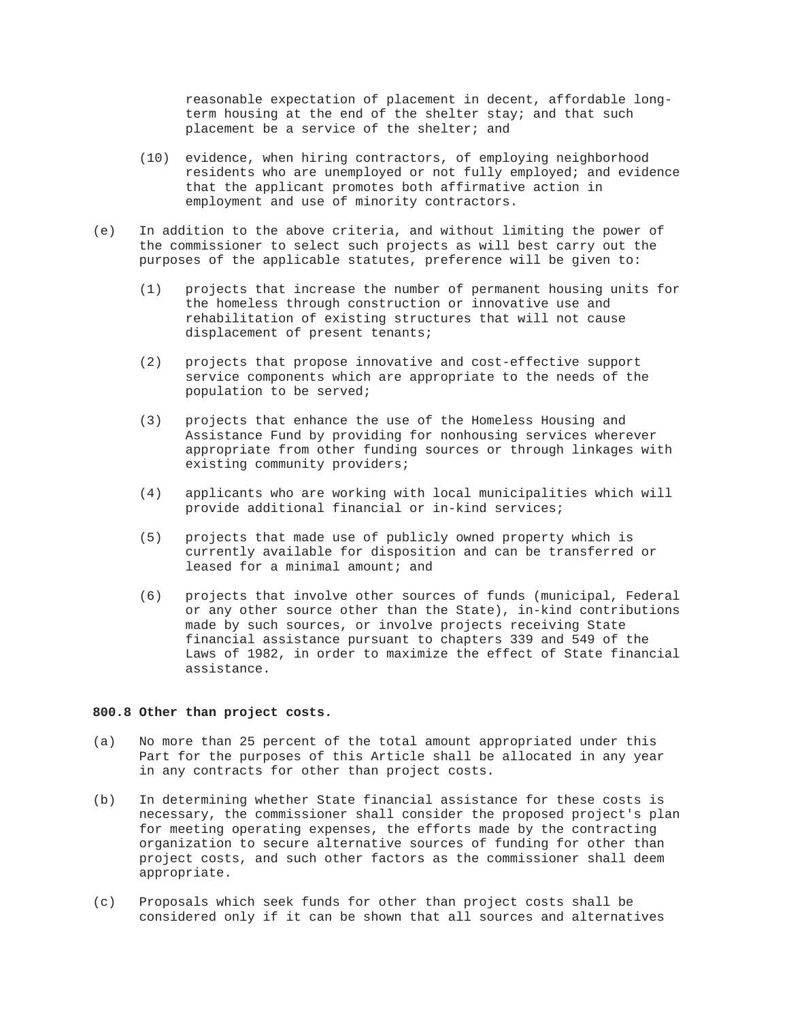reasonable expectation of placement in decent, affordable longterm housing at the end of the shelter stay; and that such placement be a service of the shelter; and

- (10) evidence, when hiring contractors, of employing neighborhood residents who are unemployed or not fully employed; and evidence that the applicant promotes both affirmative action in employment and use of minority contractors.
- (e) In addition to the above criteria, and without limiting the power of the commissioner to select such projects as will best carry out the purposes of the applicable statutes, preference will be given to:
	- (1) projects that increase the number of permanent housing units for the homeless through construction or innovative use and rehabilitation of existing structures that will not cause displacement of present tenants;
	- (2) projects that propose innovative and cost-effective support service components which are appropriate to the needs of the population to be served;
	- (3) projects that enhance the use of the Homeless Housing and Assistance Fund by providing for nonhousing services wherever appropriate from other funding sources or through linkages with existing community providers;
	- (4) applicants who are working with local municipalities which will provide additional financial or in-kind services;
	- (5) projects that made use of publicly owned property which is currently available for disposition and can be transferred or leased for a minimal amount; and
	- (6) projects that involve other sources of funds (municipal, Federal or any other source other than the State), in-kind contributions made by such sources, or involve projects receiving State financial assistance pursuant to chapters 339 and 549 of the Laws of 1982, in order to maximize the effect of State financial assistance.

# **800.8 Other than project costs.**

- (a) No more than 25 percent of the total amount appropriated under this Part for the purposes of this Article shall be allocated in any year in any contracts for other than project costs.
- (b) In determining whether State financial assistance for these costs is necessary, the commissioner shall consider the proposed project's plan for meeting operating expenses, the efforts made by the contracting organization to secure alternative sources of funding for other than project costs, and such other factors as the commissioner shall deem appropriate.
- (c) Proposals which seek funds for other than project costs shall be considered only if it can be shown that all sources and alternatives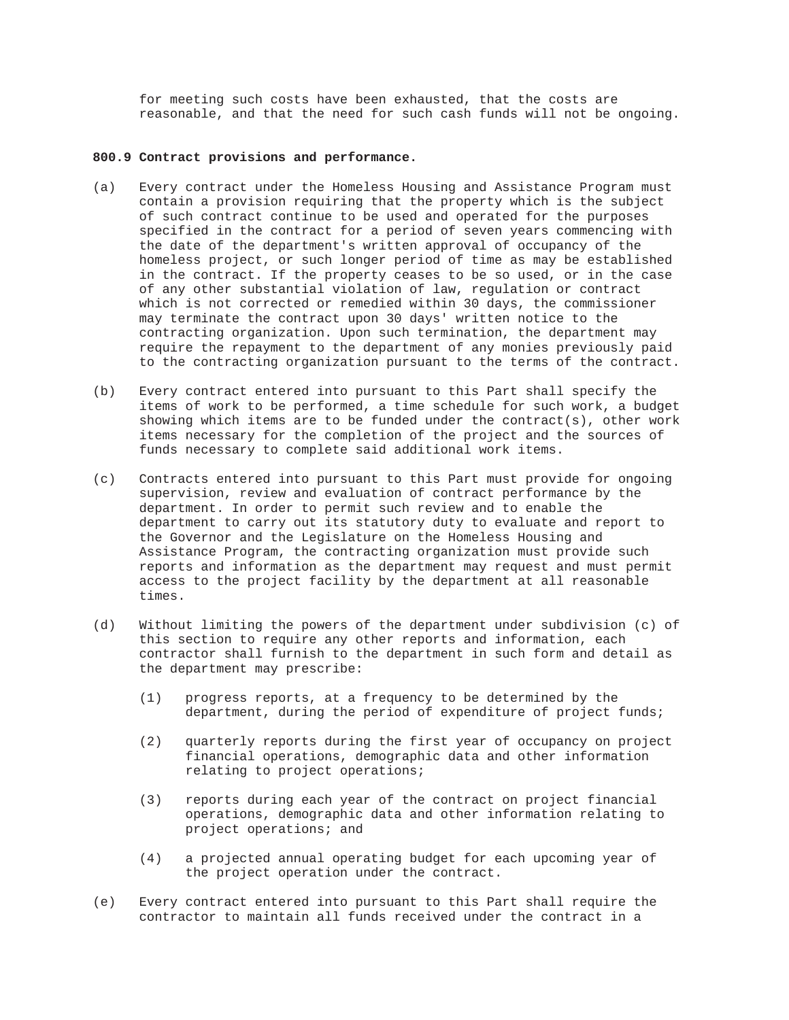for meeting such costs have been exhausted, that the costs are reasonable, and that the need for such cash funds will not be ongoing.

# **800.9 Contract provisions and performance.**

- (a) Every contract under the Homeless Housing and Assistance Program must contain a provision requiring that the property which is the subject of such contract continue to be used and operated for the purposes specified in the contract for a period of seven years commencing with the date of the department's written approval of occupancy of the homeless project, or such longer period of time as may be established in the contract. If the property ceases to be so used, or in the case of any other substantial violation of law, regulation or contract which is not corrected or remedied within 30 days, the commissioner may terminate the contract upon 30 days' written notice to the contracting organization. Upon such termination, the department may require the repayment to the department of any monies previously paid to the contracting organization pursuant to the terms of the contract.
- (b) Every contract entered into pursuant to this Part shall specify the items of work to be performed, a time schedule for such work, a budget showing which items are to be funded under the contract(s), other work items necessary for the completion of the project and the sources of funds necessary to complete said additional work items.
- (c) Contracts entered into pursuant to this Part must provide for ongoing supervision, review and evaluation of contract performance by the department. In order to permit such review and to enable the department to carry out its statutory duty to evaluate and report to the Governor and the Legislature on the Homeless Housing and Assistance Program, the contracting organization must provide such reports and information as the department may request and must permit access to the project facility by the department at all reasonable times.
- (d) Without limiting the powers of the department under subdivision (c) of this section to require any other reports and information, each contractor shall furnish to the department in such form and detail as the department may prescribe:
	- (1) progress reports, at a frequency to be determined by the department, during the period of expenditure of project funds;
	- (2) quarterly reports during the first year of occupancy on project financial operations, demographic data and other information relating to project operations;
	- (3) reports during each year of the contract on project financial operations, demographic data and other information relating to project operations; and
	- (4) a projected annual operating budget for each upcoming year of the project operation under the contract.
- (e) Every contract entered into pursuant to this Part shall require the contractor to maintain all funds received under the contract in a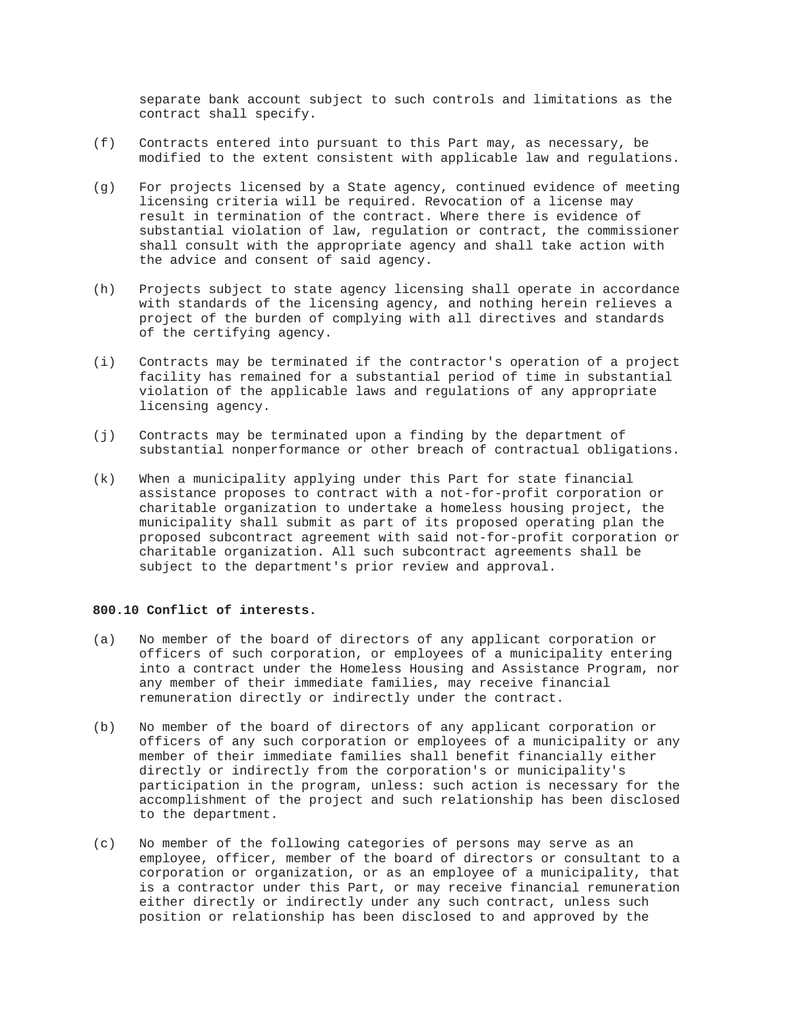separate bank account subject to such controls and limitations as the contract shall specify.

- (f) Contracts entered into pursuant to this Part may, as necessary, be modified to the extent consistent with applicable law and regulations.
- (g) For projects licensed by a State agency, continued evidence of meeting licensing criteria will be required. Revocation of a license may result in termination of the contract. Where there is evidence of substantial violation of law, regulation or contract, the commissioner shall consult with the appropriate agency and shall take action with the advice and consent of said agency.
- (h) Projects subject to state agency licensing shall operate in accordance with standards of the licensing agency, and nothing herein relieves a project of the burden of complying with all directives and standards of the certifying agency.
- (i) Contracts may be terminated if the contractor's operation of a project facility has remained for a substantial period of time in substantial violation of the applicable laws and regulations of any appropriate licensing agency.
- (j) Contracts may be terminated upon a finding by the department of substantial nonperformance or other breach of contractual obligations.
- (k) When a municipality applying under this Part for state financial assistance proposes to contract with a not-for-profit corporation or charitable organization to undertake a homeless housing project, the municipality shall submit as part of its proposed operating plan the proposed subcontract agreement with said not-for-profit corporation or charitable organization. All such subcontract agreements shall be subject to the department's prior review and approval.

# **800.10 Conflict of interests.**

- (a) No member of the board of directors of any applicant corporation or officers of such corporation, or employees of a municipality entering into a contract under the Homeless Housing and Assistance Program, nor any member of their immediate families, may receive financial remuneration directly or indirectly under the contract.
- (b) No member of the board of directors of any applicant corporation or officers of any such corporation or employees of a municipality or any member of their immediate families shall benefit financially either directly or indirectly from the corporation's or municipality's participation in the program, unless: such action is necessary for the accomplishment of the project and such relationship has been disclosed to the department.
- (c) No member of the following categories of persons may serve as an employee, officer, member of the board of directors or consultant to a corporation or organization, or as an employee of a municipality, that is a contractor under this Part, or may receive financial remuneration either directly or indirectly under any such contract, unless such position or relationship has been disclosed to and approved by the